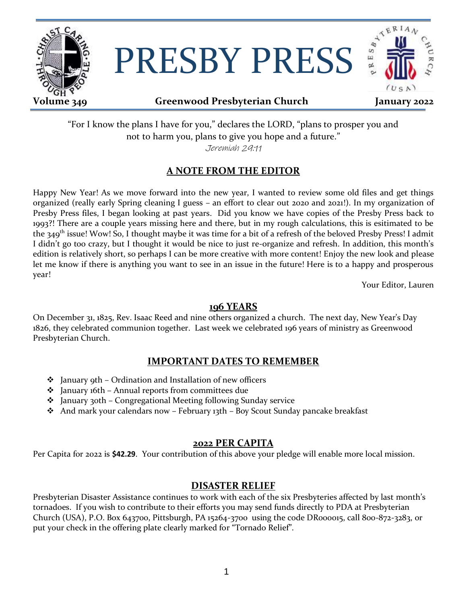

# PRESBY PRESS



## **Volume 349 Greenwood Presbyterian Church January 2022**

"For I know the plans I have for you," declares the LORD, "plans to prosper you and not to harm you, plans to give you hope and a future." Jeremiah 29:11

# **A NOTE FROM THE EDITOR**

Happy New Year! As we move forward into the new year, I wanted to review some old files and get things organized (really early Spring cleaning I guess – an effort to clear out 2020 and 2021!). In my organization of Presby Press files, I began looking at past years. Did you know we have copies of the Presby Press back to 1993?! There are a couple years missing here and there, but in my rough calculations, this is esitimated to be the 349<sup>th</sup> issue! Wow! So, I thought maybe it was time for a bit of a refresh of the beloved Presby Press! I admit I didn't go too crazy, but I thought it would be nice to just re-organize and refresh. In addition, this month's edition is relatively short, so perhaps I can be more creative with more content! Enjoy the new look and please let me know if there is anything you want to see in an issue in the future! Here is to a happy and prosperous year!

Your Editor, Lauren

#### **196 YEARS**

On December 31, 1825, Rev. Isaac Reed and nine others organized a church. The next day, New Year's Day 1826, they celebrated communion together. Last week we celebrated 196 years of ministry as Greenwood Presbyterian Church.

### **IMPORTANT DATES TO REMEMBER**

- $\triangle$  January 9th Ordination and Installation of new officers
- January 16th Annual reports from committees due
- January 30th Congregational Meeting following Sunday service
- \* And mark your calendars now February 13th Boy Scout Sunday pancake breakfast

#### **2022 PER CAPITA**

Per Capita for 2022 is **\$42.29**. Your contribution of this above your pledge will enable more local mission.

#### **DISASTER RELIEF**

Presbyterian Disaster Assistance continues to work with each of the six Presbyteries affected by last month's tornadoes. If you wish to contribute to their efforts you may send funds directly to PDA at Presbyterian Church (USA), P.O. Box 643700, Pittsburgh, PA 15264-3700 using the code DR000015, call 800-872-3283, or put your check in the offering plate clearly marked for "Tornado Relief".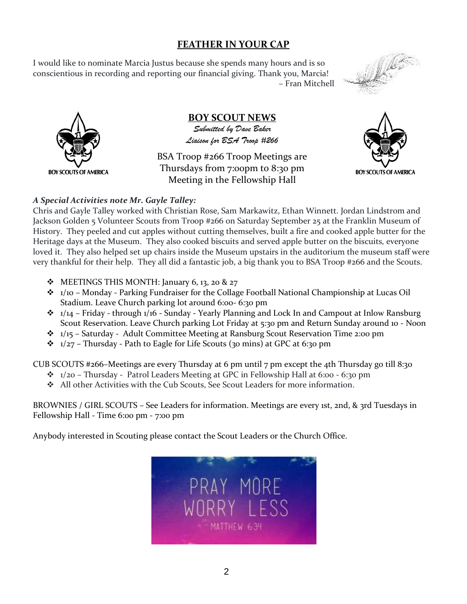# **FEATHER IN YOUR CAP**

I would like to nominate Marcia Justus because she spends many hours and is so conscientious in recording and reporting our financial giving. Thank you, Marcia! – Fran Mitchell





**BOY SCOUT NEWS** *Submitted by Dave Baker Liaison for BSA Troop #266*

BSA Troop #266 Troop Meetings are Thursdays from 7:00pm to 8:30 pm Meeting in the Fellowship Hall



#### *A Special Activities note Mr. Gayle Talley:*

Chris and Gayle Talley worked with Christian Rose, Sam Markawitz, Ethan Winnett. Jordan Lindstrom and Jackson Golden 5 Volunteer Scouts from Troop #266 on Saturday September 25 at the Franklin Museum of History. They peeled and cut apples without cutting themselves, built a fire and cooked apple butter for the Heritage days at the Museum. They also cooked biscuits and served apple butter on the biscuits, everyone loved it. They also helped set up chairs inside the Museum upstairs in the auditorium the museum staff were very thankful for their help. They all did a fantastic job, a big thank you to BSA Troop #266 and the Scouts.

- MEETINGS THIS MONTH: January 6, 13, 20 & 27
- 1/10 Monday Parking Fundraiser for the Collage Football National Championship at Lucas Oil Stadium. Leave Church parking lot around 6:00- 6:30 pm
- $\cdot \cdot$  1/14 Friday through 1/16 Sunday Yearly Planning and Lock In and Campout at Inlow Ransburg Scout Reservation. Leave Church parking Lot Friday at 5:30 pm and Return Sunday around 10 - Noon
- \*  $1/15$  Saturday Adult Committee Meeting at Ransburg Scout Reservation Time 2:00 pm
- $\cdot \cdot \cdot$  1/27 Thursday Path to Eagle for Life Scouts (30 mins) at GPC at 6:30 pm

CUB SCOUTS #266–Meetings are every Thursday at 6 pm until 7 pm except the 4th Thursday go till 8:30

- \*  $1/20$  Thursday Patrol Leaders Meeting at GPC in Fellowship Hall at 6:00 6:30 pm
- All other Activities with the Cub Scouts, See Scout Leaders for more information.

BROWNIES / GIRL SCOUTS – See Leaders for information. Meetings are every 1st, 2nd, & 3rd Tuesdays in Fellowship Hall - Time 6:00 pm - 7:00 pm

Anybody interested in Scouting please contact the Scout Leaders or the Church Office.

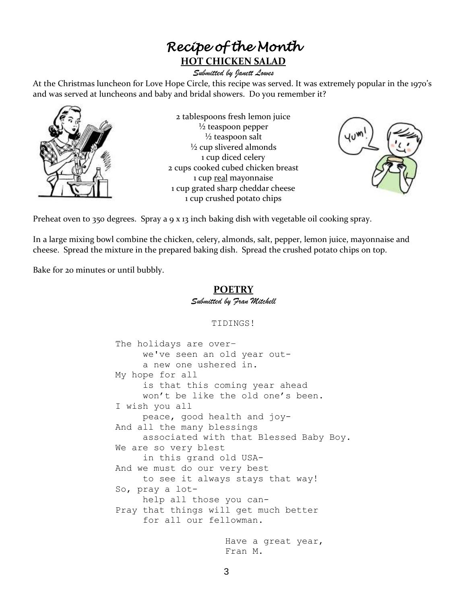# *Recipe of the Month*  **HOT CHICKEN SALAD**

#### *Submitted by Janett Lowes*

At the Christmas luncheon for Love Hope Circle, this recipe was served. It was extremely popular in the 1970's and was served at luncheons and baby and bridal showers. Do you remember it?



2 tablespoons fresh lemon juice  $\frac{1}{2}$  teaspoon pepper  $\frac{1}{2}$  teaspoon salt ½ cup slivered almonds 1 cup diced celery 2 cups cooked cubed chicken breast 1 cup real mayonnaise 1 cup grated sharp cheddar cheese 1 cup crushed potato chips



Preheat oven to 350 degrees. Spray a 9 x 13 inch baking dish with vegetable oil cooking spray.

In a large mixing bowl combine the chicken, celery, almonds, salt, pepper, lemon juice, mayonnaise and cheese. Spread the mixture in the prepared baking dish. Spread the crushed potato chips on top.

Bake for 20 minutes or until bubbly.

#### **POETRY** *Submitted by Fran Mitchell*

TIDINGS!

The holidays are over– we've seen an old year outa new one ushered in. My hope for all is that this coming year ahead won't be like the old one's been. I wish you all peace, good health and joy-And all the many blessings associated with that Blessed Baby Boy. We are so very blest in this grand old USA-And we must do our very best to see it always stays that way! So, pray a lothelp all those you can-Pray that things will get much better for all our fellowman. Have a great year, Fran M.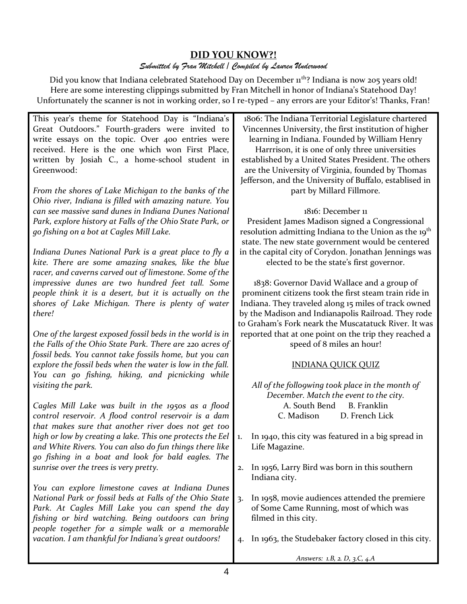# **DID YOU KNOW?!**

#### *Submitted by Fran Mitchell / Compiled by Lauren Underwood*

Did you know that Indiana celebrated Statehood Day on December 1<sup>th</sup>? Indiana is now 205 years old! Here are some interesting clippings submitted by Fran Mitchell in honor of Indiana's Statehood Day! Unfortunately the scanner is not in working order, so I re-typed – any errors are your Editor's! Thanks, Fran!

This year's theme for Statehood Day is "Indiana's Great Outdoors." Fourth-graders were invited to write essays on the topic. Over 400 entries were received. Here is the one which won First Place, written by Josiah C., a home-school student in Greenwood:

*From the shores of Lake Michigan to the banks of the Ohio river, Indiana is filled with amazing nature. You can see massive sand dunes in Indiana Dunes National Park, explore history at Falls of the Ohio State Park, or go fishing on a bot at Cagles Mill Lake.* 

*Indiana Dunes National Park is a great place to fly a kite. There are some amazing snakes, like the blue racer, and caverns carved out of limestone. Some of the impressive dunes are two hundred feet tall. Some people think it is a desert, but it is actually on the shores of Lake Michigan. There is plenty of water there!* 

*One of the largest exposed fossil beds in the world is in the Falls of the Ohio State Park. There are 220 acres of fossil beds. You cannot take fossils home, but you can explore the fossil beds when the water is low in the fall. You can go fishing, hiking, and picnicking while visiting the park.* 

*Cagles Mill Lake was built in the 1950s as a flood control reservoir. A flood control reservoir is a dam that makes sure that another river does not get too high or low by creating a lake. This one protects the Eel and White Rivers. You can also do fun things there like go fishing in a boat and look for bald eagles. The sunrise over the trees is very pretty.*

*You can explore limestone caves at Indiana Dunes National Park or fossil beds at Falls of the Ohio State Park. At Cagles Mill Lake you can spend the day fishing or bird watching. Being outdoors can bring people together for a simple walk or a memorable vacation. I am thankful for Indiana's great outdoors!*

1806: The Indiana Territorial Legislature chartered Vincennes University, the first institution of higher learning in Indiana. Founded by William Henry Harrrison, it is one of only three universities established by a United States President. The others are the University of Virginia, founded by Thomas Jefferson, and the University of Buffalo, establised in part by Millard Fillmore.

1816: December 11

President James Madison signed a Congressional resolution admitting Indiana to the Union as the 19<sup>th</sup> state. The new state government would be centered in the capital city of Corydon. Jonathan Jennings was elected to be the state's first governor.

1838: Governor David Wallace and a group of prominent citizens took the first steam train ride in Indiana. They traveled along 15 miles of track owned by the Madison and Indianapolis Railroad. They rode to Graham's Fork neark the Muscatatuck River. It was reported that at one point on the trip they reached a speed of 8 miles an hour!

### INDIANA QUICK QUIZ

*All of the follo9wing took place in the month of December. Match the event to the city.* A. South Bend B. Franklin C. Madison D. French Lick

- 1. In 1940, this city was featured in a big spread in Life Magazine.
- 2. In 1956, Larry Bird was born in this southern Indiana city.
- 3. In 1958, movie audiences attended the premiere of Some Came Running, most of which was filmed in this city.
- 4. In 1963, the Studebaker factory closed in this city.

*Answers: 1.B, 2. D, 3.C, 4.A*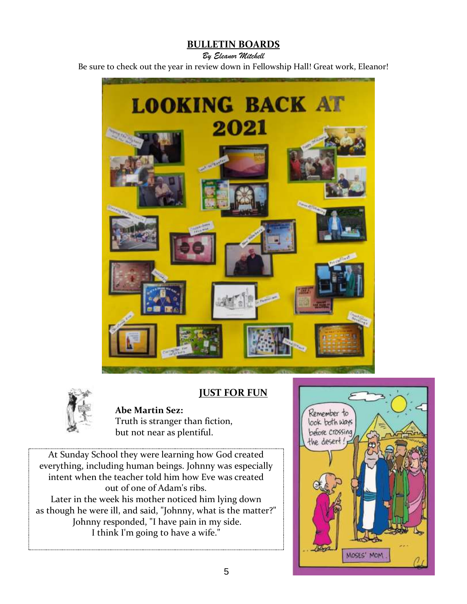# **BULLETIN BOARDS**

#### *By Eleanor Mitchell*

Be sure to check out the year in review down in Fellowship Hall! Great work, Eleanor!





# **JUST FOR FUN**

#### **Abe Martin Sez:**

Truth is stranger than fiction, but not near as plentiful.

At Sunday School they were learning how God created everything, including human beings. Johnny was especially intent when the teacher told him how Eve was created out of one of Adam's ribs. Later in the week his mother noticed him lying down as though he were ill, and said, "Johnny, what is the matter?" Johnny responded, "I have pain in my side. I think I'm going to have a wife."